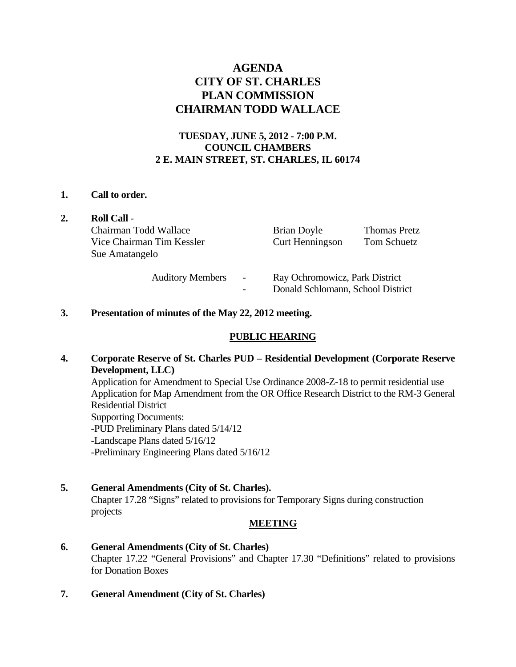# **AGENDA CITY OF ST. CHARLES PLAN COMMISSION CHAIRMAN TODD WALLACE**

# **TUESDAY, JUNE 5, 2012 - 7:00 P.M. COUNCIL CHAMBERS 2 E. MAIN STREET, ST. CHARLES, IL 60174**

#### **1. Call to order.**

| <b>Roll Call -</b>        |                          |                                   |                     |  |
|---------------------------|--------------------------|-----------------------------------|---------------------|--|
| Chairman Todd Wallace     |                          | Brian Doyle                       | <b>Thomas Pretz</b> |  |
| Vice Chairman Tim Kessler |                          | Curt Henningson                   | Tom Schuetz         |  |
| Sue Amatangelo            |                          |                                   |                     |  |
| <b>Auditory Members</b>   | $\overline{\phantom{a}}$ | Ray Ochromowicz, Park District    |                     |  |
|                           |                          | Donald Schlomann, School District |                     |  |

#### **3. Presentation of minutes of the May 22, 2012 meeting.**

# **PUBLIC HEARING**

## **4. Corporate Reserve of St. Charles PUD – Residential Development (Corporate Reserve Development, LLC)**

Application for Amendment to Special Use Ordinance 2008-Z-18 to permit residential use Application for Map Amendment from the OR Office Research District to the RM-3 General Residential District Supporting Documents: -PUD Preliminary Plans dated 5/14/12 -Landscape Plans dated 5/16/12

-Preliminary Engineering Plans dated 5/16/12

#### **5. General Amendments (City of St. Charles).**

Chapter 17.28 "Signs" related to provisions for Temporary Signs during construction projects

#### **MEETING**

## **6. General Amendments (City of St. Charles)**  Chapter 17.22 "General Provisions" and Chapter 17.30 "Definitions" related to provisions for Donation Boxes

**7. General Amendment (City of St. Charles)**